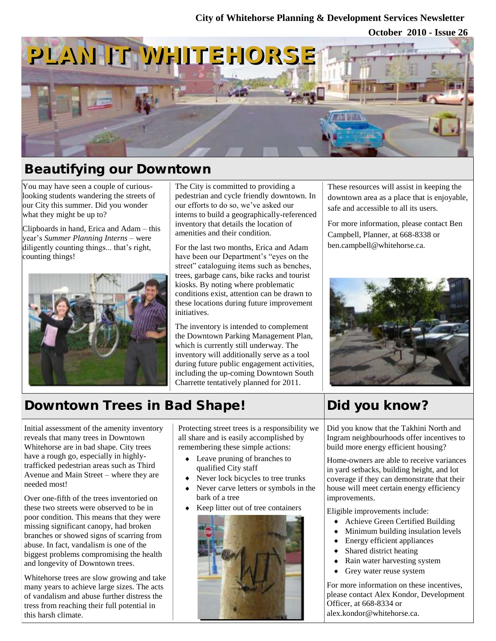### **City of Whitehorse Planning & Development Services Newsletter**

**October 2010 - Issue 26**



## Beautifying our Downtown

You may have seen a couple of curiouslooking students wandering the streets of our City this summer. Did you wonder what they might be up to?

Clipboards in hand, Erica and Adam – this year's *Summer Planning Interns* – were diligently counting things... that's right, counting things!



The City is committed to providing a pedestrian and cycle friendly downtown. In our efforts to do so, we've asked our interns to build a geographically-referenced inventory that details the location of amenities and their condition.

For the last two months, Erica and Adam have been our Department's "eyes on the street" cataloguing items such as benches, trees, garbage cans, bike racks and tourist kiosks. By noting where problematic conditions exist, attention can be drawn to these locations during future improvement initiatives.

The inventory is intended to complement the Downtown Parking Management Plan, which is currently still underway. The inventory will additionally serve as a tool during future public engagement activities, including the up-coming Downtown South Charrette tentatively planned for 2011.

These resources will assist in keeping the downtown area as a place that is enjoyable, safe and accessible to all its users.

For more information, please contact Ben Campbell, Planner, at 668-8338 or ben.campbell@whitehorse.ca.



# Downtown Trees in Bad Shape!

Initial assessment of the amenity inventory reveals that many trees in Downtown Whitehorse are in bad shape. City trees have a rough go, especially in highlytrafficked pedestrian areas such as Third Avenue and Main Street – where they are needed most!

Over one-fifth of the trees inventoried on these two streets were observed to be in poor condition. This means that they were missing significant canopy, had broken branches or showed signs of scarring from abuse. In fact, vandalism is one of the biggest problems compromising the health and longevity of Downtown trees.

Whitehorse trees are slow growing and take many years to achieve large sizes. The acts of vandalism and abuse further distress the tress from reaching their full potential in this harsh climate.

Protecting street trees is a responsibility we all share and is easily accomplished by remembering these simple actions:

- Leave pruning of branches to qualified City staff
- Never lock bicycles to tree trunks
- Never carve letters or symbols in the bark of a tree
- Keep litter out of tree containers



# Did you know?

Did you know that the Takhini North and Ingram neighbourhoods offer incentives to build more energy efficient housing?

Home-owners are able to receive variances in yard setbacks, building height, and lot coverage if they can demonstrate that their house will meet certain energy efficiency improvements.

Eligible improvements include:

- Achieve Green Certified Building
- Minimum building insulation levels
- Energy efficient appliances
- Shared district heating  $\bullet$
- Rain water harvesting system
- Grey water reuse system

For more information on these incentives, please contact Alex Kondor, Development Officer, at 668-8334 or alex.kondor@whitehorse.ca.